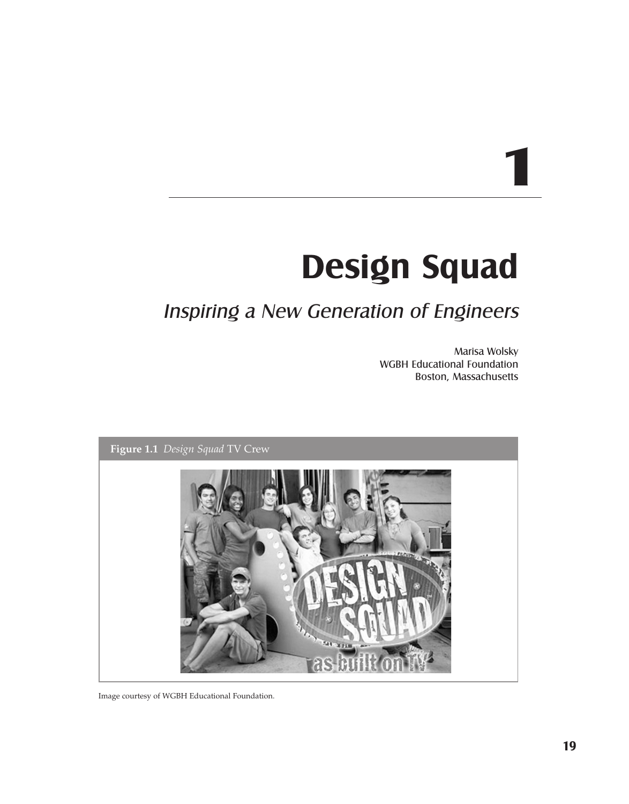# **1**

# **Design Squad**

# Inspiring a New Generation of Engineers

Marisa Wolsky WGBH Educational Foundation Boston, Massachusetts



Image courtesy of WGBH Educational Foundation.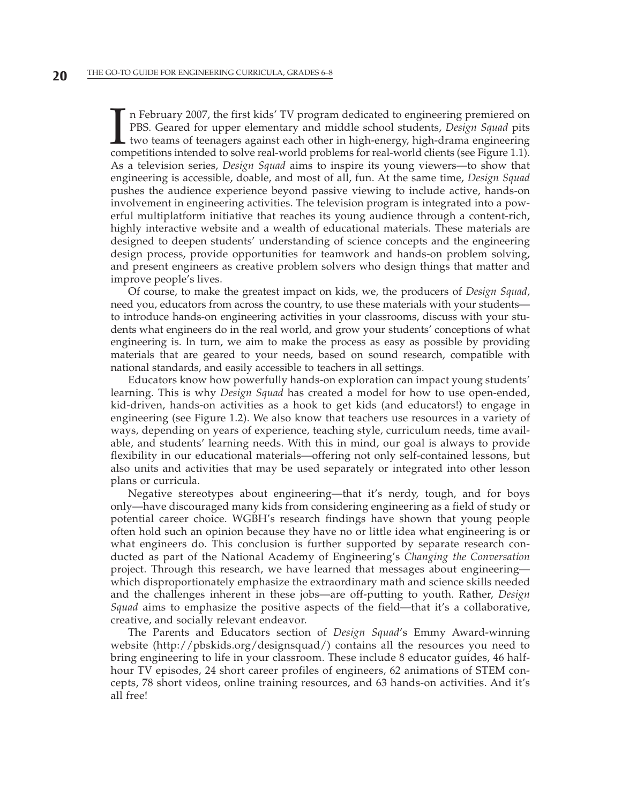I<sub>com</sub> n February 2007, the first kids' TV program dedicated to engineering premiered on PBS. Geared for upper elementary and middle school students, *Design Squad* pits two teams of teenagers against each other in high-energy, high-drama engineering competitions intended to solve real-world problems for real-world clients (see Figure 1.1). As a television series, *Design Squad* aims to inspire its young viewers—to show that engineering is accessible, doable, and most of all, fun. At the same time, *Design Squad* pushes the audience experience beyond passive viewing to include active, hands-on involvement in engineering activities. The television program is integrated into a powerful multiplatform initiative that reaches its young audience through a content-rich, highly interactive website and a wealth of educational materials. These materials are designed to deepen students' understanding of science concepts and the engineering design process, provide opportunities for teamwork and hands-on problem solving, and present engineers as creative problem solvers who design things that matter and improve people's lives.

Of course, to make the greatest impact on kids, we, the producers of *Design Squad*, need you, educators from across the country, to use these materials with your students to introduce hands-on engineering activities in your classrooms, discuss with your students what engineers do in the real world, and grow your students' conceptions of what engineering is. In turn, we aim to make the process as easy as possible by providing materials that are geared to your needs, based on sound research, compatible with national standards, and easily accessible to teachers in all settings.

Educators know how powerfully hands-on exploration can impact young students' learning. This is why *Design Squad* has created a model for how to use open-ended, kid-driven, hands-on activities as a hook to get kids (and educators!) to engage in engineering (see Figure 1.2). We also know that teachers use resources in a variety of ways, depending on years of experience, teaching style, curriculum needs, time available, and students' learning needs. With this in mind, our goal is always to provide flexibility in our educational materials—offering not only self-contained lessons, but also units and activities that may be used separately or integrated into other lesson plans or curricula.

Negative stereotypes about engineering—that it's nerdy, tough, and for boys only—have discouraged many kids from considering engineering as a field of study or potential career choice. WGBH's research findings have shown that young people often hold such an opinion because they have no or little idea what engineering is or what engineers do. This conclusion is further supported by separate research conducted as part of the National Academy of Engineering's *Changing the Conversation* project. Through this research, we have learned that messages about engineering which disproportionately emphasize the extraordinary math and science skills needed and the challenges inherent in these jobs—are off-putting to youth. Rather, *Design Squad* aims to emphasize the positive aspects of the field—that it's a collaborative, creative, and socially relevant endeavor.

The Parents and Educators section of *Design Squad*'s Emmy Award-winning website (http://pbskids.org/designsquad/) contains all the resources you need to bring engineering to life in your classroom. These include 8 educator guides, 46 halfhour TV episodes, 24 short career profiles of engineers, 62 animations of STEM concepts, 78 short videos, online training resources, and 63 hands-on activities. And it's all free!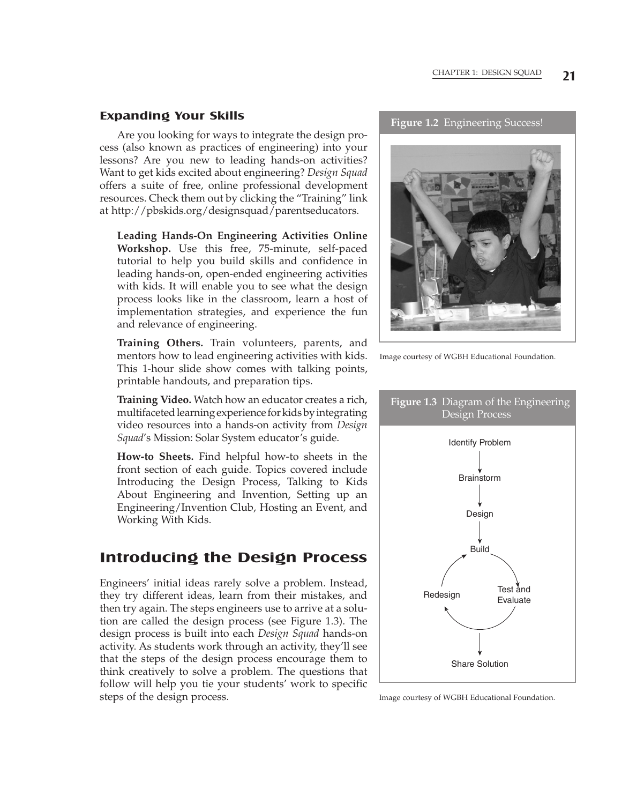#### **Expanding Your Skills**

Are you looking for ways to integrate the design process (also known as practices of engineering) into your lessons? Are you new to leading hands-on activities? Want to get kids excited about engineering? *Design Squad* offers a suite of free, online professional development resources. Check them out by clicking the "Training" link at http://pbskids.org/designsquad/parentseducators.

**Leading Hands-On Engineering Activities Online Workshop.** Use this free, 75-minute, self-paced tutorial to help you build skills and confidence in leading hands-on, open-ended engineering activities with kids. It will enable you to see what the design process looks like in the classroom, learn a host of implementation strategies, and experience the fun and relevance of engineering.

**Training Others.** Train volunteers, parents, and mentors how to lead engineering activities with kids. This 1-hour slide show comes with talking points, printable handouts, and preparation tips.

**Training Video.** Watch how an educator creates a rich, multifaceted learning experience for kids by integrating video resources into a hands-on activity from *Design Squad*'s Mission: Solar System educator's guide.

**How-to Sheets.** Find helpful how-to sheets in the front section of each guide. Topics covered include Introducing the Design Process, Talking to Kids About Engineering and Invention, Setting up an Engineering/Invention Club, Hosting an Event, and Working With Kids.

#### **Introducing the Design Process**

Engineers' initial ideas rarely solve a problem. Instead, they try different ideas, learn from their mistakes, and then try again. The steps engineers use to arrive at a solution are called the design process (see Figure 1.3). The design process is built into each *Design Squad* hands-on activity. As students work through an activity, they'll see that the steps of the design process encourage them to think creatively to solve a problem. The questions that follow will help you tie your students' work to specific steps of the design process.

**Figure 1.2** Engineering Success!



Image courtesy of WGBH Educational Foundation.



Image courtesy of WGBH Educational Foundation.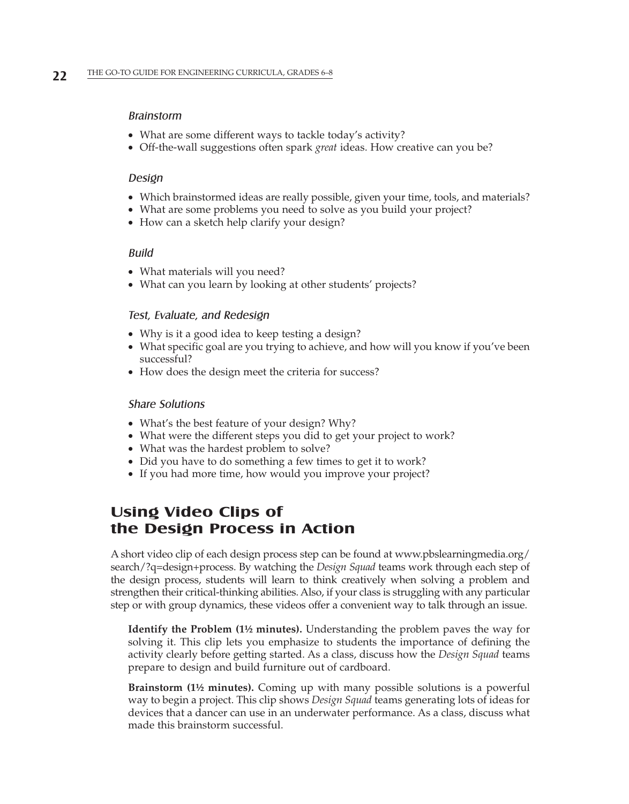#### Brainstorm

- What are some different ways to tackle today's activity?
- Off-the-wall suggestions often spark *great* ideas. How creative can you be?

#### Design

- Which brainstormed ideas are really possible, given your time, tools, and materials?
- What are some problems you need to solve as you build your project?
- How can a sketch help clarify your design?

#### Build

- What materials will you need?
- What can you learn by looking at other students' projects?

#### Test, Evaluate, and Redesign

- Why is it a good idea to keep testing a design?
- What specific goal are you trying to achieve, and how will you know if you've been successful?
- How does the design meet the criteria for success?

#### Share Solutions

- What's the best feature of your design? Why?
- What were the different steps you did to get your project to work?
- What was the hardest problem to solve?
- Did you have to do something a few times to get it to work?
- If you had more time, how would you improve your project?

# **Using Video Clips of the Design Process in Action**

A short video clip of each design process step can be found at www.pbslearningmedia.org/ search/?q=design+process. By watching the *Design Squad* teams work through each step of the design process, students will learn to think creatively when solving a problem and strengthen their critical-thinking abilities. Also, if your class is struggling with any particular step or with group dynamics, these videos offer a convenient way to talk through an issue.

**Identify the Problem (1½ minutes).** Understanding the problem paves the way for solving it. This clip lets you emphasize to students the importance of defining the activity clearly before getting started. As a class, discuss how the *Design Squad* teams prepare to design and build furniture out of cardboard.

**Brainstorm (1½ minutes).** Coming up with many possible solutions is a powerful way to begin a project. This clip shows *Design Squad* teams generating lots of ideas for devices that a dancer can use in an underwater performance. As a class, discuss what made this brainstorm successful.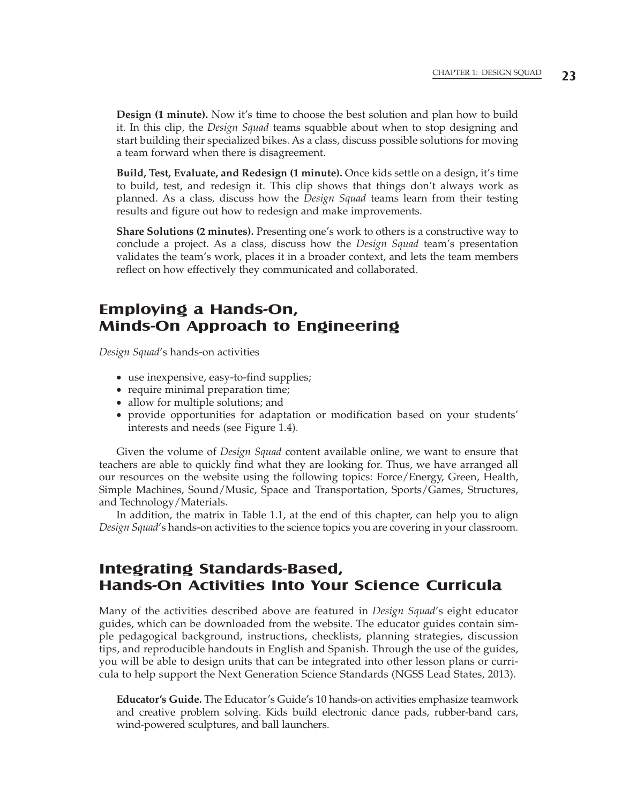**Design (1 minute).** Now it's time to choose the best solution and plan how to build it. In this clip, the *Design Squad* teams squabble about when to stop designing and start building their specialized bikes. As a class, discuss possible solutions for moving a team forward when there is disagreement.

**Build, Test, Evaluate, and Redesign (1 minute).** Once kids settle on a design, it's time to build, test, and redesign it. This clip shows that things don't always work as planned. As a class, discuss how the *Design Squad* teams learn from their testing results and figure out how to redesign and make improvements.

**Share Solutions (2 minutes).** Presenting one's work to others is a constructive way to conclude a project. As a class, discuss how the *Design Squad* team's presentation validates the team's work, places it in a broader context, and lets the team members reflect on how effectively they communicated and collaborated.

# **Employing a Hands-On, Minds-On Approach to Engineering**

*Design Squad*'s hands-on activities

- use inexpensive, easy-to-find supplies;
- require minimal preparation time;
- allow for multiple solutions; and
- provide opportunities for adaptation or modification based on your students' interests and needs (see Figure 1.4).

Given the volume of *Design Squad* content available online, we want to ensure that teachers are able to quickly find what they are looking for. Thus, we have arranged all our resources on the website using the following topics: Force/Energy, Green, Health, Simple Machines, Sound/Music, Space and Transportation, Sports/Games, Structures, and Technology/Materials.

In addition, the matrix in Table 1.1, at the end of this chapter, can help you to align *Design Squad*'s hands-on activities to the science topics you are covering in your classroom.

# **Integrating Standards-Based, Hands-On Activities Into Your Science Curricula**

Many of the activities described above are featured in *Design Squad*'s eight educator guides, which can be downloaded from the website. The educator guides contain simple pedagogical background, instructions, checklists, planning strategies, discussion tips, and reproducible handouts in English and Spanish. Through the use of the guides, you will be able to design units that can be integrated into other lesson plans or curricula to help support the Next Generation Science Standards (NGSS Lead States, 2013).

**Educator's Guide.** The Educator's Guide's 10 hands-on activities emphasize teamwork and creative problem solving. Kids build electronic dance pads, rubber-band cars, wind-powered sculptures, and ball launchers.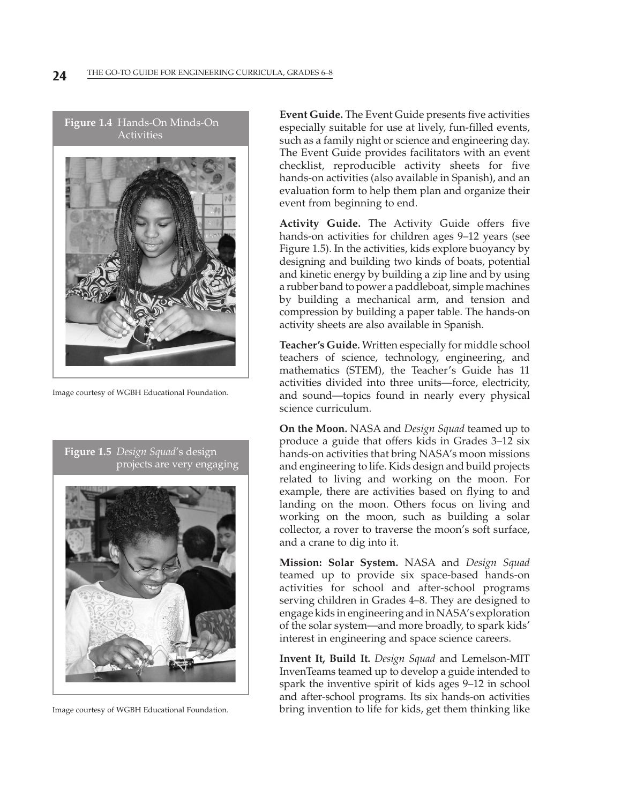**Figure 1.4** Hands-On Minds-On Activities



Image courtesy of WGBH Educational Foundation.

**Figure 1.5** *Design Squad*'s design projects are very engaging



**Event Guide.** The Event Guide presents five activities especially suitable for use at lively, fun-filled events, such as a family night or science and engineering day. The Event Guide provides facilitators with an event checklist, reproducible activity sheets for five hands-on activities (also available in Spanish), and an evaluation form to help them plan and organize their event from beginning to end.

**Activity Guide.** The Activity Guide offers five hands-on activities for children ages 9–12 years (see Figure 1.5). In the activities, kids explore buoyancy by designing and building two kinds of boats, potential and kinetic energy by building a zip line and by using a rubber band to power a paddleboat, simple machines by building a mechanical arm, and tension and compression by building a paper table. The hands-on activity sheets are also available in Spanish.

**Teacher's Guide***.* Written especially for middle school teachers of science, technology, engineering, and mathematics (STEM), the Teacher's Guide has 11 activities divided into three units—force, electricity, and sound—topics found in nearly every physical science curriculum.

**On the Moon***.* NASA and *Design Squad* teamed up to produce a guide that offers kids in Grades 3–12 six hands-on activities that bring NASA's moon missions and engineering to life. Kids design and build projects related to living and working on the moon. For example, there are activities based on flying to and landing on the moon. Others focus on living and working on the moon, such as building a solar collector, a rover to traverse the moon's soft surface, and a crane to dig into it.

**Mission: Solar System.** NASA and *Design Squad* teamed up to provide six space-based hands-on activities for school and after-school programs serving children in Grades 4–8. They are designed to engage kids in engineering and in NASA's exploration of the solar system—and more broadly, to spark kids' interest in engineering and space science careers.

**Invent It, Build It.** *Design Squad* and Lemelson-MIT InvenTeams teamed up to develop a guide intended to spark the inventive spirit of kids ages 9–12 in school and after-school programs. Its six hands-on activities Image courtesy of WGBH Educational Foundation. bring invention to life for kids, get them thinking like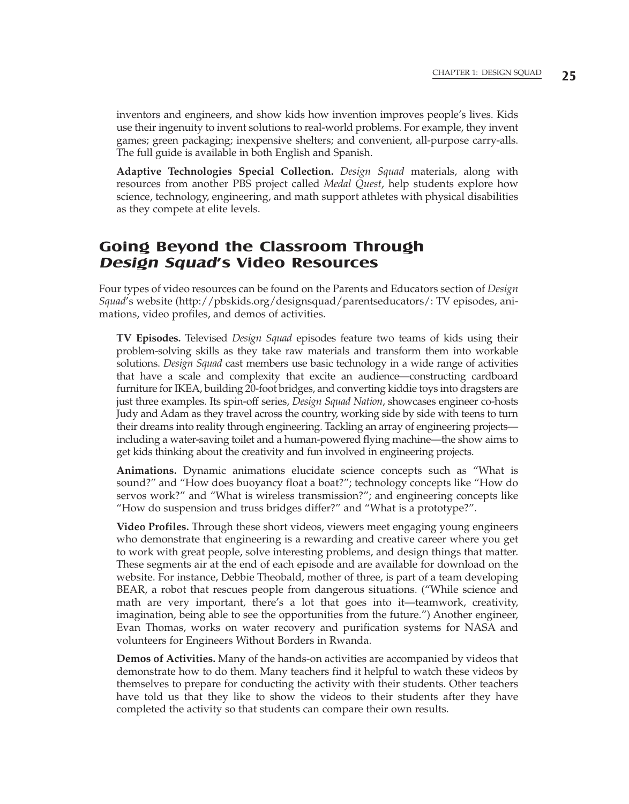inventors and engineers, and show kids how invention improves people's lives. Kids use their ingenuity to invent solutions to real-world problems. For example, they invent games; green packaging; inexpensive shelters; and convenient, all-purpose carry-alls. The full guide is available in both English and Spanish.

**Adaptive Technologies Special Collection.** *Design Squad* materials, along with resources from another PBS project called *Medal Quest*, help students explore how science, technology, engineering, and math support athletes with physical disabilities as they compete at elite levels.

## **Going Beyond the Classroom Through Design Squad's Video Resources**

Four types of video resources can be found on the Parents and Educators section of *Design Squad*'s website (http://pbskids.org/designsquad/parentseducators/: TV episodes, animations, video profiles, and demos of activities.

**TV Episodes.** Televised *Design Squad* episodes feature two teams of kids using their problem-solving skills as they take raw materials and transform them into workable solutions. *Design Squad* cast members use basic technology in a wide range of activities that have a scale and complexity that excite an audience—constructing cardboard furniture for IKEA, building 20-foot bridges, and converting kiddie toys into dragsters are just three examples. Its spin-off series, *Design Squad Nation*, showcases engineer co-hosts Judy and Adam as they travel across the country, working side by side with teens to turn their dreams into reality through engineering. Tackling an array of engineering projects including a water-saving toilet and a human-powered flying machine—the show aims to get kids thinking about the creativity and fun involved in engineering projects.

**Animations.** Dynamic animations elucidate science concepts such as "What is sound?" and "How does buoyancy float a boat?"; technology concepts like "How do servos work?" and "What is wireless transmission?"; and engineering concepts like "How do suspension and truss bridges differ?" and "What is a prototype?".

**Video Profiles.** Through these short videos, viewers meet engaging young engineers who demonstrate that engineering is a rewarding and creative career where you get to work with great people, solve interesting problems, and design things that matter. These segments air at the end of each episode and are available for download on the website. For instance, Debbie Theobald, mother of three, is part of a team developing BEAR, a robot that rescues people from dangerous situations. ("While science and math are very important, there's a lot that goes into it—teamwork, creativity, imagination, being able to see the opportunities from the future.") Another engineer, Evan Thomas, works on water recovery and purification systems for NASA and volunteers for Engineers Without Borders in Rwanda.

**Demos of Activities.** Many of the hands-on activities are accompanied by videos that demonstrate how to do them. Many teachers find it helpful to watch these videos by themselves to prepare for conducting the activity with their students. Other teachers have told us that they like to show the videos to their students after they have completed the activity so that students can compare their own results.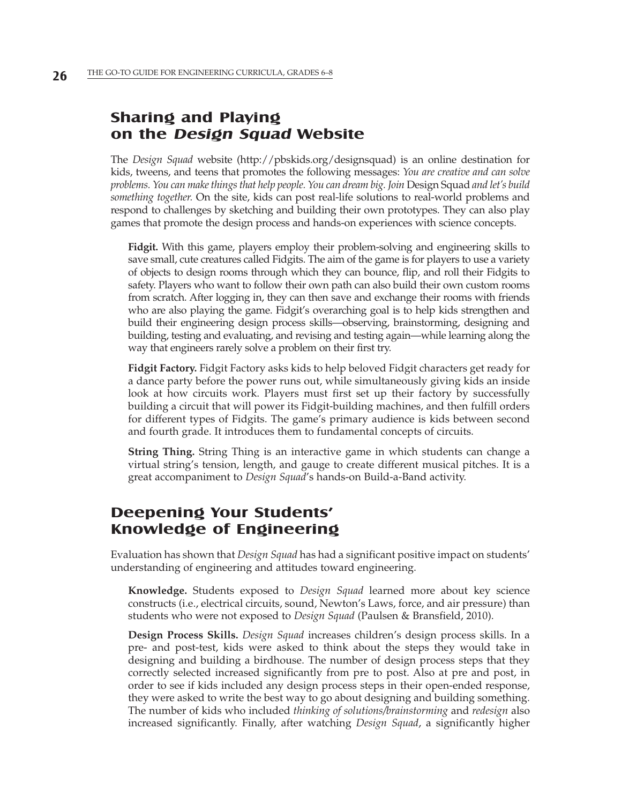# **Sharing and Playing on the Design Squad Website**

The *Design Squad* website (http://pbskids.org/designsquad) is an online destination for kids, tweens, and teens that promotes the following messages: *You are creative and can solve problems. You can make things that help people. You can dream big. Join* Design Squad *and let's build something together.* On the site, kids can post real-life solutions to real-world problems and respond to challenges by sketching and building their own prototypes. They can also play games that promote the design process and hands-on experiences with science concepts.

**Fidgit.** With this game, players employ their problem-solving and engineering skills to save small, cute creatures called Fidgits. The aim of the game is for players to use a variety of objects to design rooms through which they can bounce, flip, and roll their Fidgits to safety. Players who want to follow their own path can also build their own custom rooms from scratch. After logging in, they can then save and exchange their rooms with friends who are also playing the game. Fidgit's overarching goal is to help kids strengthen and build their engineering design process skills—observing, brainstorming, designing and building, testing and evaluating, and revising and testing again—while learning along the way that engineers rarely solve a problem on their first try.

**Fidgit Factory.** Fidgit Factory asks kids to help beloved Fidgit characters get ready for a dance party before the power runs out, while simultaneously giving kids an inside look at how circuits work. Players must first set up their factory by successfully building a circuit that will power its Fidgit-building machines, and then fulfill orders for different types of Fidgits. The game's primary audience is kids between second and fourth grade. It introduces them to fundamental concepts of circuits.

**String Thing.** String Thing is an interactive game in which students can change a virtual string's tension, length, and gauge to create different musical pitches. It is a great accompaniment to *Design Squad*'s hands-on Build-a-Band activity.

## **Deepening Your Students' Knowledge of Engineering**

Evaluation has shown that *Design Squad* has had a significant positive impact on students' understanding of engineering and attitudes toward engineering.

**Knowledge.** Students exposed to *Design Squad* learned more about key science constructs (i.e., electrical circuits, sound, Newton's Laws, force, and air pressure) than students who were not exposed to *Design Squad* (Paulsen & Bransfield, 2010).

**Design Process Skills.** *Design Squad* increases children's design process skills. In a pre- and post-test, kids were asked to think about the steps they would take in designing and building a birdhouse. The number of design process steps that they correctly selected increased significantly from pre to post. Also at pre and post, in order to see if kids included any design process steps in their open-ended response, they were asked to write the best way to go about designing and building something. The number of kids who included *thinking of solutions/brainstorming* and *redesign* also increased significantly. Finally, after watching *Design Squad*, a significantly higher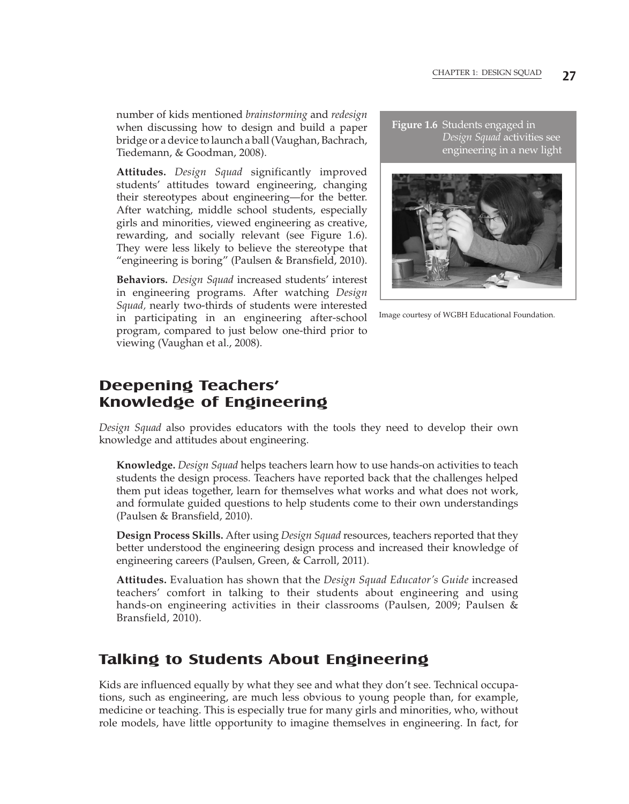number of kids mentioned *brainstorming* and *redesign* when discussing how to design and build a paper bridge or a device to launch a ball (Vaughan, Bachrach, Tiedemann, & Goodman, 2008).

**Attitudes.** *Design Squad* significantly improved students' attitudes toward engineering, changing their stereotypes about engineering—for the better. After watching, middle school students, especially girls and minorities, viewed engineering as creative, rewarding, and socially relevant (see Figure 1.6). They were less likely to believe the stereotype that "engineering is boring" (Paulsen & Bransfield, 2010).

**Behaviors.** *Design Squad* increased students' interest in engineering programs. After watching *Design Squad,* nearly two-thirds of students were interested in participating in an engineering after-school program, compared to just below one-third prior to viewing (Vaughan et al., 2008).

**Figure 1.6** Students engaged in *Design Squad* activities see engineering in a new light



Image courtesy of WGBH Educational Foundation.

# **Deepening Teachers' Knowledge of Engineering**

*Design Squad* also provides educators with the tools they need to develop their own knowledge and attitudes about engineering.

**Knowledge.** *Design Squad* helps teachers learn how to use hands-on activities to teach students the design process. Teachers have reported back that the challenges helped them put ideas together, learn for themselves what works and what does not work, and formulate guided questions to help students come to their own understandings (Paulsen & Bransfield, 2010).

**Design Process Skills.** After using *Design Squad* resources, teachers reported that they better understood the engineering design process and increased their knowledge of engineering careers (Paulsen, Green, & Carroll, 2011).

**Attitudes.** Evaluation has shown that the *Design Squad Educator's Guide* increased teachers' comfort in talking to their students about engineering and using hands-on engineering activities in their classrooms (Paulsen, 2009; Paulsen & Bransfield, 2010).

# **Talking to Students About Engineering**

Kids are influenced equally by what they see and what they don't see. Technical occupations, such as engineering, are much less obvious to young people than, for example, medicine or teaching. This is especially true for many girls and minorities, who, without role models, have little opportunity to imagine themselves in engineering. In fact, for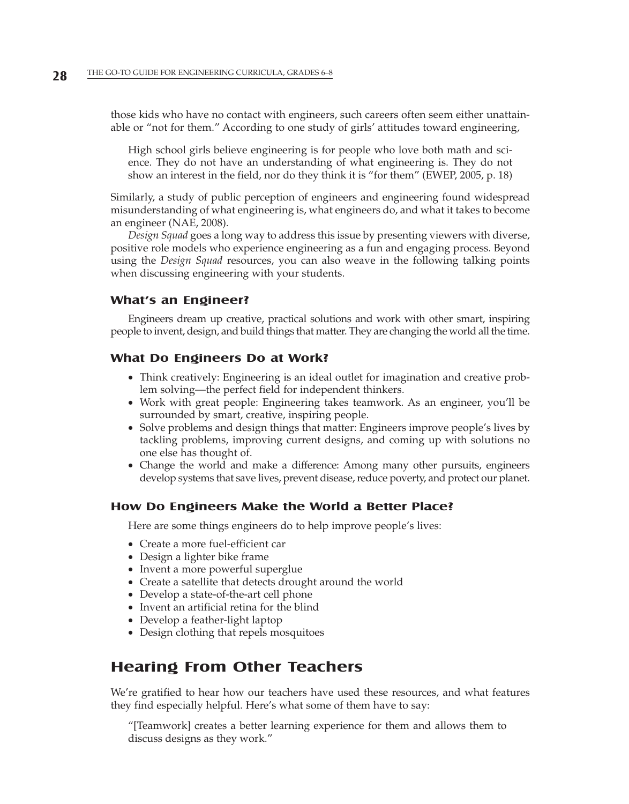those kids who have no contact with engineers, such careers often seem either unattainable or "not for them." According to one study of girls' attitudes toward engineering,

High school girls believe engineering is for people who love both math and science. They do not have an understanding of what engineering is. They do not show an interest in the field, nor do they think it is "for them" (EWEP, 2005, p. 18)

Similarly, a study of public perception of engineers and engineering found widespread misunderstanding of what engineering is, what engineers do, and what it takes to become an engineer (NAE, 2008).

*Design Squad* goes a long way to address this issue by presenting viewers with diverse, positive role models who experience engineering as a fun and engaging process. Beyond using the *Design Squad* resources, you can also weave in the following talking points when discussing engineering with your students.

#### **What's an Engineer?**

Engineers dream up creative, practical solutions and work with other smart, inspiring people to invent, design, and build things that matter. They are changing the world all the time.

#### **What Do Engineers Do at Work?**

- Think creatively: Engineering is an ideal outlet for imagination and creative problem solving—the perfect field for independent thinkers.
- Work with great people: Engineering takes teamwork. As an engineer, you'll be surrounded by smart, creative, inspiring people.
- Solve problems and design things that matter: Engineers improve people's lives by tackling problems, improving current designs, and coming up with solutions no one else has thought of.
- Change the world and make a difference: Among many other pursuits, engineers develop systems that save lives, prevent disease, reduce poverty, and protect our planet.

#### **How Do Engineers Make the World a Better Place?**

Here are some things engineers do to help improve people's lives:

- Create a more fuel-efficient car
- Design a lighter bike frame
- Invent a more powerful superglue
- Create a satellite that detects drought around the world
- Develop a state-of-the-art cell phone
- Invent an artificial retina for the blind
- Develop a feather-light laptop
- Design clothing that repels mosquitoes

#### **Hearing From Other Teachers**

We're gratified to hear how our teachers have used these resources, and what features they find especially helpful. Here's what some of them have to say:

"[Teamwork] creates a better learning experience for them and allows them to discuss designs as they work."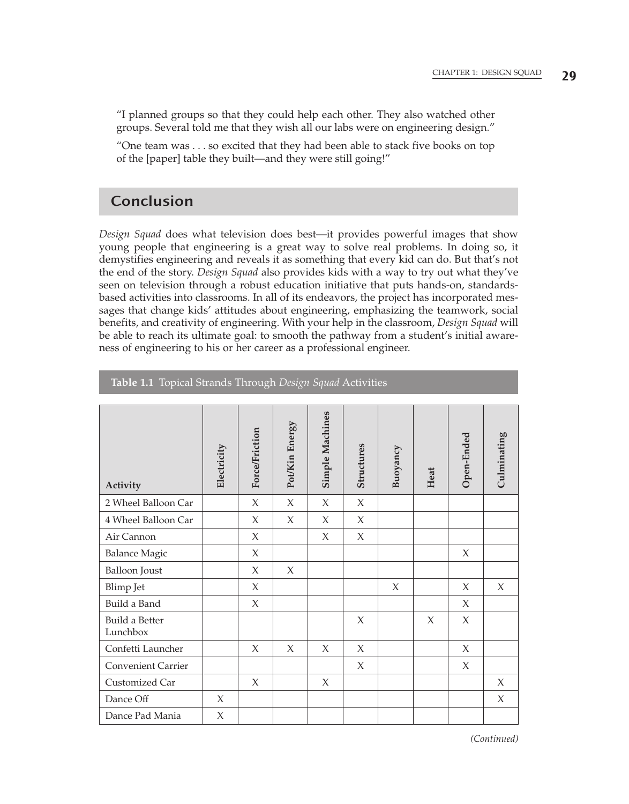"I planned groups so that they could help each other. They also watched other groups. Several told me that they wish all our labs were on engineering design."

"One team was . . . so excited that they had been able to stack five books on top of the [paper] table they built—and they were still going!"

# Conclusion

*Design Squad* does what television does best—it provides powerful images that show young people that engineering is a great way to solve real problems. In doing so, it demystifies engineering and reveals it as something that every kid can do. But that's not the end of the story. *Design Squad* also provides kids with a way to try out what they've seen on television through a robust education initiative that puts hands-on, standardsbased activities into classrooms. In all of its endeavors, the project has incorporated messages that change kids' attitudes about engineering, emphasizing the teamwork, social benefits, and creativity of engineering. With your help in the classroom, *Design Squad* will be able to reach its ultimate goal: to smooth the pathway from a student's initial awareness of engineering to his or her career as a professional engineer.

| Activity                   | Electricity | Force/Friction | Pot/Kin Energy | Simple Machines     | Structures | Buoyancy | Heat   | Open-Ended | Culminating |
|----------------------------|-------------|----------------|----------------|---------------------|------------|----------|--------|------------|-------------|
| 2 Wheel Balloon Car        |             | $\chi$         | $\chi$         | $\chi$              | $\chi$     |          |        |            |             |
| 4 Wheel Balloon Car        |             | $\chi$         | $\chi$         | X                   | $\chi$     |          |        |            |             |
| Air Cannon                 |             | X              |                | $\chi$              | $\chi$     |          |        |            |             |
| <b>Balance Magic</b>       |             | $\chi$         |                |                     |            |          |        | $\chi$     |             |
| <b>Balloon Joust</b>       |             | $\chi$         | $\chi$         |                     |            |          |        |            |             |
| <b>Blimp</b> Jet           |             | $\chi$         |                |                     |            | X        |        | X          | X           |
| Build a Band               |             | $\chi$         |                |                     |            |          |        | $\chi$     |             |
| Build a Better<br>Lunchbox |             |                |                |                     | $\chi$     |          | $\chi$ | $\chi$     |             |
| Confetti Launcher          |             | $\chi$         | X              | X                   | X          |          |        | X          |             |
| Convenient Carrier         |             |                |                |                     | X          |          |        | $\chi$     |             |
| Customized Car             |             | $\chi$         |                | $\boldsymbol{\chi}$ |            |          |        |            | $\chi$      |
| Dance Off                  | $\chi$      |                |                |                     |            |          |        |            | $\chi$      |
| Dance Pad Mania            | $\chi$      |                |                |                     |            |          |        |            |             |

#### **Table 1.1** Topical Strands Through *Design Squad* Activities

*(Continued)*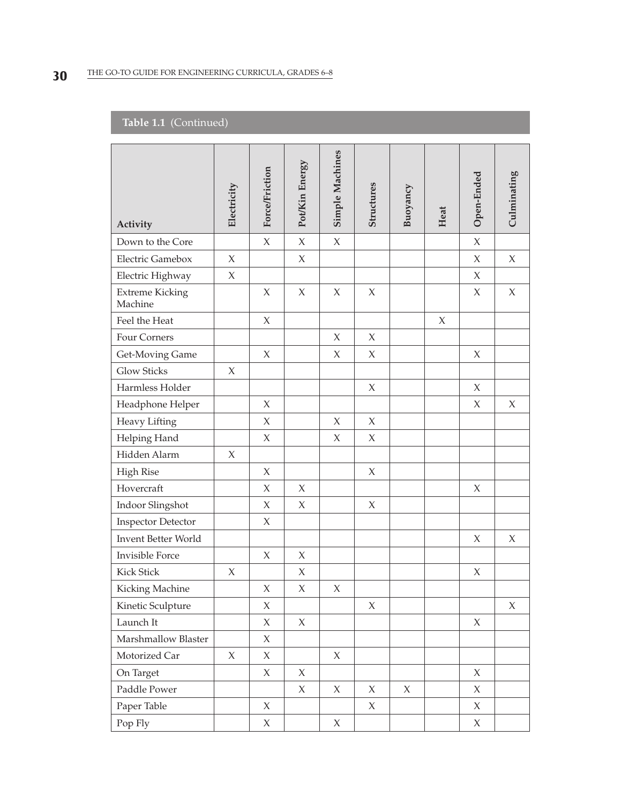# **Table 1.1** (Continued)

| Activity                          | Electricity         | Force/Friction      | Pot/Kin Energy      | Simple Machines | Structures          | Buoyancy | Heat        | Open-Ended          | Culminating |
|-----------------------------------|---------------------|---------------------|---------------------|-----------------|---------------------|----------|-------------|---------------------|-------------|
| Down to the Core                  |                     | $\boldsymbol{\chi}$ | $\chi$              | $\mathsf X$     |                     |          |             | $\chi$              |             |
| <b>Electric Gamebox</b>           | $\chi$              |                     | $\boldsymbol{\chi}$ |                 |                     |          |             | $\chi$              | $\chi$      |
| Electric Highway                  | $\chi$              |                     |                     |                 |                     |          |             | $\chi$              |             |
| <b>Extreme Kicking</b><br>Machine |                     | $\chi$              | $\boldsymbol{\chi}$ | $\chi$          | $\chi$              |          |             | $\chi$              | $\chi$      |
| Feel the Heat                     |                     | $\chi$              |                     |                 |                     |          | $\mathsf X$ |                     |             |
| Four Corners                      |                     |                     |                     | $\chi$          | $\chi$              |          |             |                     |             |
| Get-Moving Game                   |                     | $\boldsymbol{\chi}$ |                     | X               | $\chi$              |          |             | $\boldsymbol{\chi}$ |             |
| <b>Glow Sticks</b>                | $\chi$              |                     |                     |                 |                     |          |             |                     |             |
| Harmless Holder                   |                     |                     |                     |                 | $\boldsymbol{\chi}$ |          |             | $\chi$              |             |
| Headphone Helper                  |                     | $\chi$              |                     |                 |                     |          |             | $\chi$              | $\chi$      |
| <b>Heavy Lifting</b>              |                     | $\boldsymbol{\chi}$ |                     | $\chi$          | $\boldsymbol{\chi}$ |          |             |                     |             |
| Helping Hand                      |                     | $\chi$              |                     | X               | $\chi$              |          |             |                     |             |
| Hidden Alarm                      | $\boldsymbol{\chi}$ |                     |                     |                 |                     |          |             |                     |             |
| <b>High Rise</b>                  |                     | $\chi$              |                     |                 | $\chi$              |          |             |                     |             |
| Hovercraft                        |                     | $\boldsymbol{\chi}$ | $\boldsymbol{\chi}$ |                 |                     |          |             | $\chi$              |             |
| Indoor Slingshot                  |                     | $\boldsymbol{\chi}$ | $\mathsf X$         |                 | $\chi$              |          |             |                     |             |
| <b>Inspector Detector</b>         |                     | $\boldsymbol{\chi}$ |                     |                 |                     |          |             |                     |             |
| Invent Better World               |                     |                     |                     |                 |                     |          |             | $\mathsf X$         | $\chi$      |
| Invisible Force                   |                     | $\chi$              | $\boldsymbol{\chi}$ |                 |                     |          |             |                     |             |
| <b>Kick Stick</b>                 | X                   |                     | X                   |                 |                     |          |             | X                   |             |
| Kicking Machine                   |                     | $\chi$              | $\boldsymbol{\chi}$ | $\chi$          |                     |          |             |                     |             |
| Kinetic Sculpture                 |                     | $\chi$              |                     |                 | $\chi$              |          |             |                     | $\chi$      |
| Launch It                         |                     | $\chi$              | $\boldsymbol{\chi}$ |                 |                     |          |             | $\chi$              |             |
| Marshmallow Blaster               |                     | $\chi$              |                     |                 |                     |          |             |                     |             |
| Motorized Car                     | $\chi$              | $\chi$              |                     | $\chi$          |                     |          |             |                     |             |
| On Target                         |                     | $\chi$              | $\chi$              |                 |                     |          |             | $\chi$              |             |
| Paddle Power                      |                     |                     | $\chi$              | $\chi$          | $\chi$              | $\chi$   |             | $\chi$              |             |
| Paper Table                       |                     | $\chi$              |                     |                 | X                   |          |             | $\chi$              |             |
| Pop Fly                           |                     | X                   |                     | $\chi$          |                     |          |             | X                   |             |